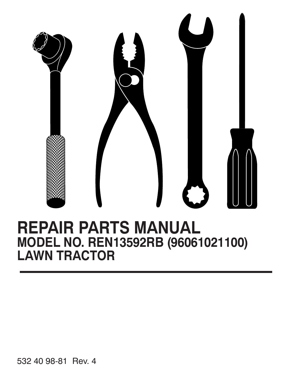

# **REPAIR PARTS MANUAL MODEL NO. REN13592RB (96061021100) LAWN TRACTOR**

532 40 98-81 Rev. 4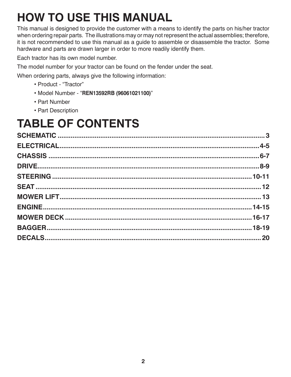# **HOW TO USE THIS MANUAL**

This manual is designed to provide the customer with a means to identify the parts on his/her tractor when ordering repair parts. The illustrations may or may not represent the actual assemblies; therefore, it is not recommended to use this manual as a guide to assemble or disassemble the tractor. Some hardware and parts are drawn larger in order to more readily identify them.

Each tractor has its own model number.

The model number for your tractor can be found on the fender under the seat.

When ordering parts, always give the following information:

- Product "Tractor"
- Model Number "**REN13592RB (96061021100)**"
- Part Number
- Part Description

# **TABLE OF CONTENTS**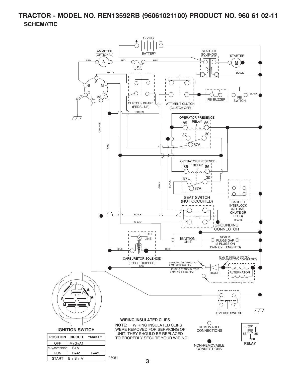# **TRACTOR - MODEL NO. REN13592RB (96061021100) PRODUCT NO. 960 61 02-11 SCHEMATIC**

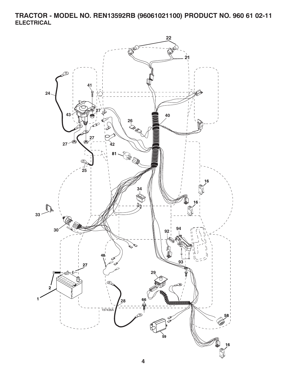**TRACTOR - MODEL NO. REN13592RB (96061021100) PRODUCT NO. 960 61 02-11 ELECTRICAL**

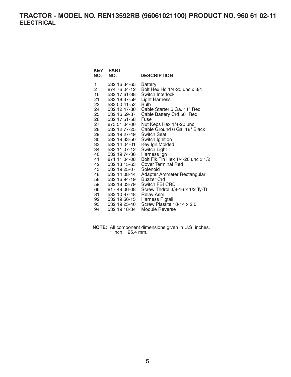### **TRACTOR - MODEL NO. REN13592RB (96061021100) PRODUCT NO. 960 61 02-11 ELECTRICAL**

| KEY<br>NO.     | <b>PART</b><br>NO. | <b>DESCRIPTION</b>                |
|----------------|--------------------|-----------------------------------|
| 1              | 532 16 34-65       | <b>Battery</b>                    |
| $\overline{2}$ | 874 76 04-12       | Bolt Hex Hd 1/4-20 unc x 3/4      |
| 16             | 532 17 61-38       | Switch Interlock                  |
| 21             | 532 18 37-59       | <b>Light Harness</b>              |
| 22             | 532 00 41-52       | <b>Bulb</b>                       |
| 24             | 532 12 47-80       | Cable Starter 6 Ga. 11" Red       |
| 25             | 532 16 59-87       | Cable Battery Crd 56" Red         |
| 26             | 532 17 51-58       | Fuse                              |
| 27             | 873 51 04-00       | Nut Keps Hex 1/4-20 unc           |
| 28             | 532 12 77-25       | Cable Ground 6 Ga. 18" Black      |
| 29             | 532 19 27-49       | Switch Seat                       |
| 30             | 532 19 33-50       | Switch Ignition                   |
| 33             | 532 14 04-01       | Key Ign Molded                    |
| 34             | 532 11 07-12       | Switch Light                      |
| 40             | 532 19 74-36       | Harness Ign                       |
| 41             | 871 11 04-08       | Bolt Flk Fin Hex 1/4-20 unc x 1/2 |
| 42             | 532 13 15-63       | Cover Terminal Red                |
| 43             | 532 19 25-07       | Solenoid                          |
| 48             | 532 14 08-44       | Adapter Ammeter Rectangular       |
| 58             | 532 16 94-19       | <b>Buzzer Crd</b>                 |
| 59             | 532 18 03-79       | Switch FBI CRD                    |
| 66             | 817 49 06-08       | Screw Thdrol 3/8-16 x 1/2 Ty-Tt   |
| 81             | 532 10 97-48       | <b>Relay Asm</b>                  |
| 92             | 532 19 66-15       | Harness Pigtail                   |
| 93             | 532 19 25-40       | Screw Plastite 10-14 x 2.0        |
| 94             | 532 19 18-34       | Module Reverse                    |

**NOTE:** All component dimensions given in U.S. inches. 1 inch =  $25.4$  mm.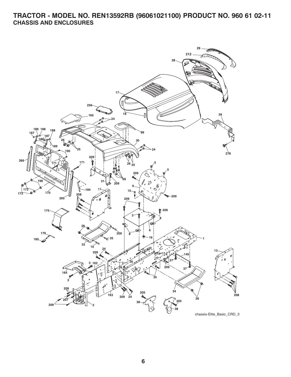# **TRACTOR - MODEL NO. REN13592RB (96061021100) PRODUCT NO. 960 61 02-11 CHASSIS AND ENCLOSURES**

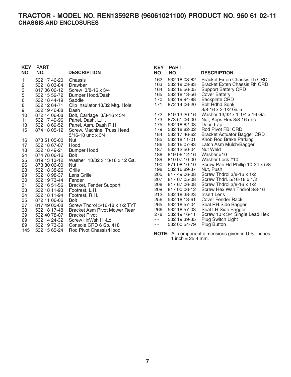#### **TRACTOR - MODEL NO. REN13592RB (96061021100) PRODUCT NO. 960 61 02-11 CHASSIS AND ENCLOSURES**

| <b>KEY</b><br>NO. | <b>PART</b><br>NO. | <b>DESCRIPTION</b>                  | <b>KEY</b><br>NO. | <b>PART</b><br>NO. | <b>DESCRIPTION</b>                                            |
|-------------------|--------------------|-------------------------------------|-------------------|--------------------|---------------------------------------------------------------|
| 1                 | 532 17 46-20       | Chassis                             | 162               | 532 18 03-82       | Bracket Exten Chassis Lh CRD                                  |
| 2                 | 532 18 03-84       | Drawbar                             | 163               | 532 18 03-83       | <b>Bracket Exten Chassis Rh CRD</b>                           |
| 3                 | 817 06 06-12       | Screw $3/8 - 16 \times 3/4$         | 164               | 532 16 56-05       | <b>Support Battery CRD</b>                                    |
| 5                 | 532 15 52-72       | <b>Bumper Hood/Dash</b>             | 165               | 532 18 13-56       | <b>Cover Battery</b>                                          |
| 6                 | 532 18 44-19       | Saddle                              | 170               | 532 19 94-88       | <b>Backplate CRD</b>                                          |
| 8                 | 532 12 64-71       | Clip Insulator 13/32 Mtg. Hole      | 171               | 872 14 06-20       | <b>Bolt Rdhd Sqnk</b>                                         |
| 9                 | 532 19 46-88       | Dash                                |                   |                    | $3/8 - 16 \times 2 - 1/2$ Gr. 5                               |
| 10                | 872 14 06-08       | Bolt, Carriage 3/8-16 x 3/4         | 172               | 819 13 20-16       | Washer 13/32 x 1-1/4 x 16 Ga.                                 |
| 11                | 532 17 49-96       | Panel, Dash, L.H.                   | 173               | 873 51 06-00       | Nut, Keps Hex 3/8-16 unc                                      |
| 13                | 532 18 69-52       | Panel, Asm. Dash R.H.               | 175               | 532 18 82-03       | Door Trap                                                     |
| 15                | 874 18 05-12       | Screw, Machine, Truss Head          | 179               | 532 18 82-02       | Rod Pivot FBI CRD                                             |
|                   |                    | $5/16 - 18$ unc $\times 3/4$        | 184               | 532 17 46-62       | <b>Bracket Actuator Bagger CRD</b>                            |
| 16                | 873 51 05-00       | <b>Nut</b>                          | 185               | 532 18 11-01       | Knob Rod Brake Parking                                        |
| 17                | 532 18 67-07       | Hood                                | 186               | 532 16 07-93       | Latch Asm Mulch/Bagger                                        |
| 18                | 532 18 49-21       | <b>Bumper Hood</b>                  | 187               | 532 12 50-04       | Nut Weld                                                      |
| 24                | 874 78 06-16       | <b>Bolt</b>                         | 188               | 819 06 12-16       | Washer #10                                                    |
| 25                | 819 13 13-12       | Washer 13/32 x 13/16 x 12 Ga.       | 189               | 810 07 10-00       | Washer Lock #10                                               |
| 26                | 873 80 06-00       | <b>Nut</b>                          | 190               | 871 08 10-10       | Screw Pan Hd Phillip 10-24 x 5/8                              |
| 28                | 532 18 38-26       | Grille                              | 198               | 532 16 89-37       | Nut, Push                                                     |
| 29                | 532 18 98-37       | Lens Grille                         | 205               | 817 49 06-08       | Screw Thdrol 3/8-16 x 1/2                                     |
| 30                | 532 19 73-44       | Fender                              | 207               | 817 67 05-08       | Screw Thdrl. 5/16-18 x 1/2                                    |
| 31                | 532 16 51-56       | Bracket, Fender Support             | 208               | 817 67 06-08       | Screw Thdrol $3/8-16 \times 1/2$                              |
| 33                | 532 18 11-93       | Footrest, L.H.                      | 209               | 817 00 06-12       | Screw Hex Wsh Thdrol 3/8-16                                   |
| 34                | 532 18 11-94       | Footrest, R.H.                      | 212               | 532 18 38-23       | <b>Insert Lens</b>                                            |
| 35                | 872 11 06-06       | Bolt                                | 256               | 532 18 13-61       | <b>Cover Fender Rack</b>                                      |
| 37                | 817 49 05-08       | Screw Thdrol 5/16-18 x 1/2 TYT      | 265               | 532 18 57-04       | Seal RH Side Bagger                                           |
| 38                | 532 18 17-48       | <b>Bracket Asm Pivot Mower Rear</b> | 266               | 532 18 57-03       | Seal LH Side Bagger                                           |
| 39                | 532 40 78-07       | <b>Bracket Pivot</b>                | 278               | 532 19 16-11       | Screw 10 x 3/4 Single Lead Hex                                |
| 69                | 532 14 24-32       | Screw HxWsh Hi-Lo                   | $\sim$ $\sim$     | 532 19 39-35       | Plug Switch Light                                             |
| 89                | 532 19 73-39       | Console CRD 6 Sp. 418               | $\sim$ $\sim$     | 532 00 54-79       | <b>Plug Button</b>                                            |
| 145               | 532 15 65-24       | Rod Pivot Chassis/Hood              |                   |                    | $M$ $\Omega$ TE: All companent dimensions given in LLC inches |

**NOTE:** All component dimensions given in U.S. inches. 1 inch =  $25.4$  mm.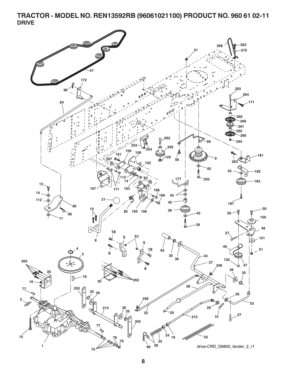### **TRACTOR - MODEL NO. REN13592RB (96061021100) PRODUCT NO. 960 61 02-11 DRIVE**

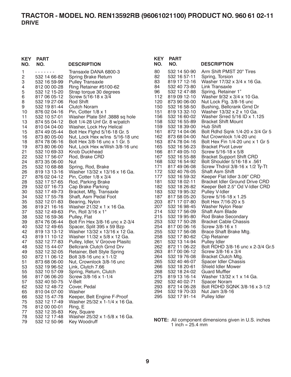#### **TRACTOR - MODEL NO. REN13592RB (96061021100) PRODUCT NO. 960 61 02-11 DRIVE**

#### 1 - - - - - - - Transaxle DANA 6800-3 2 532 14 66-82 Spring Brake Return 3 532 16 59-99 Pulley Transaxle 4 812 00 00-28 Ring Retainer #5100-62 5 532 12 15-20 Strap torque 30 degrees 6 817 06 05-12 Screw 5/16-18 x 3/4 8 532 19 27-06 Rod Shift 532 19 81-44 10 876 02 04-16 Pin, Cotter 1/8 x 1 11 532 10 57-01 Washer Plate Shf .3888 sq hole 13 874 55 04-12 Bolt 1/4-28 Unf Gr. 8 w/patch 14 810 04 04-00 Washer, Lock Hvy Helical 15 874 49 05-44 Bolt Hex Flghd 5/16-18 Gr. 5 16 873 80 05-00 Nut, Lock Hex w/Ins 5/16-18 unc 18 874 78 06-16 Bolt Hex 3/8-16 unc x 1 Gr. 5 19 873 80 06-00 Nut, Lock Hex w/Wsh 3/8-16 unc 21 532 10 69-33 Knob Duckhead 22 532 17 56-07 Rod, Brake CRD 873 35 06-00 Nut 25 532 10 68-88 Spring, Rod, Brake 26 819 13 13-16 Washer 13/32 x 13/16 x 16 Ga. 27 876 02 04-12 Pin, Cotter 1/8 x 3/4 28 532 17 57-65 Rod, Parking Brake 29 532 07 16-73 Cap Brake Parking 30 532 17 49-73 Bracket, Mfg. Transaxle 34 532 17 55-78 Shaft, Asm Pedal Foot 35 532 12 01-83 Bearing, Nylon 36 819 21 16-16 Washer 21/32 x 1 x 16 Ga. 37 532 12 49-63 Pin, Roll 3/16 x 1" 38 532 16 59-36 Pulley, Flat 39 874 76 06-44 Bolt Fin Hex 3/8-16 unc x 2-3/4 40 532 12 49-65 Spacer, Split 395 x 59 Bzp 42 819 13 13-12 Washer 13/32 x 13/16 x 12 Ga. 43 819 11 10-12 Washer 11/32 x 5/8 x 12 Ga. 47 532 12 77-83 Pulley, Idler, V Groove Plasitc 48 532 15 44-07 Bellcrank Clutch Grnd Drv 49 532 12 32-05 Retainer, Belt Style Spring 50 872 11 06-12 Bolt 3/8-16 unc x 1-1/2 51 873 68 06-00 Nut, Crownlock 3/8-16 unc<br>53 532 19 96-52 Link. Clutch 7.66 53 532 19 96-52 Link, Clutch 7.66 Spring, Return, Clutch 56 817 06 06-20 Screw 3/8-16 x 1-1/4 57 532 40 50-75 V-Belt 62 532 12 48-72 Cover, Pedal 65 810 04 07-00 Washer 66 532 15 47-78 Keeper, Belt Engine F-Proof 75 532 12 17-49 Washer 25/32 x 1-1/4 x 16 Ga. 76 812 00 00-01 Ring, E 77 532 12 35-83 Key, Square 78 532 12 17-48 Washer 25/32 x 1-5/8 x 16 Ga. 79 532 12 50-96 **KEY PART NO. NO. DESCRIPTION**

| KEY            | PART                                         |                                                                            |
|----------------|----------------------------------------------|----------------------------------------------------------------------------|
| NO.            | NO.                                          | <b>DESCRIPTION</b>                                                         |
| 80<br>82<br>83 | 532 14 50-90<br>532 16 57-11<br>819 17 12-16 | Arm Shift PMST 20" Tires<br>Spring, Torsion<br>Washer 17/32 x 3/4 x 16 Ga. |
| 84             | 532 40 73-80                                 | Link Transaxle                                                             |
| 96<br>112      | 532 12 47-88<br>819 09 12-10                 | Spring, Retainer 1"<br>Washer 9/32 x 3/4 x 10 Ga.                          |
| 120            | 873 90 06-00                                 | Nut Lock Flg. 3/8-16 unc                                                   |
| 150<br>151     | 532 16 58-50<br>819 13 32-10                 | Bushing, Bellcrank Grnd Dr<br>Washer 13/32 x 2 x 10 Ga.                    |
| 156            | 532 16 60-02                                 | Washer Srred 5/16 ID x 1.125                                               |
| 158<br>159     | 532 16 55-89<br>532 18 39-00                 | <b>Bracket Shift Mount</b><br>Hub Shift                                    |
| 161            | 872 14 04-06                                 | Bolt Rdhd Sqnk 1/4-20 x 3/4 Gr 5                                           |
| 162<br>163     | 873 68 04-00<br>874 78 04-16                 | Nut Crownlock 1/4-20 unc<br>Bolt Hex Fin 1/4-20 unc x 1 Gr 5               |
| 165            | 532 16 56-23                                 | Bracket Pivot Lever                                                        |
| 166<br>167     | 817 49 05-10<br>532 16 55-88                 | Screw 5/16-18 x 5/8<br><b>Bracket Support Shift CRD</b>                    |
| 168            | 532 16 54-92                                 | Bolt Shoulder 5/16-18 x .561                                               |
| 171<br>172     | 817 49 06-08<br>532 40 76-05                 | Screw Thdrol 3/8-16 x 1/2 Ty-Tt<br>Shaft Asm Shift                         |
| 177            | 532 16 59-32                                 | Keeper Flat Idler 3.06" CRD                                                |
| 181<br>182     | 532 18 02-11<br>532 18 26-82                 | <b>Bracket Idler Ground Drive CRD</b><br>Keeper Belt 2.5" Od V-Idler CRD   |
| 183            | 532 19 95-32                                 | Pulley V-Idler                                                             |
| 187<br>203     | 817 58 05-20<br>871 17 07-80                 | Screw 5/16-18 x 1.25<br>Bolt Hex 7/16-20 x 5                               |
| 207            | 532 16 98-45                                 | Washer Nylon Rear                                                          |
| 214<br>215     | 532 17 56-09<br>532 19 95-80                 | Shaft Asm Blade<br>Rod Brake Secondary                                     |
| 253            | 532 17 50-28                                 | Bracket Cable Chassis                                                      |
| 254<br>255     | 817 00 06-16<br>532 17 56-08                 | Screw 3/8-16 x 1<br>Brace Shaft Brake Mtg.                                 |
| 258            | 532 17 80-62                                 | <b>Clip Retainer</b>                                                       |
| 261<br>262     | 532 13 14-94<br>872 11 06-22                 | Pulley Idler<br>Bolt RDHD 3/8-16 unc x 2-3/4 Gr.5                          |
| 263            | 817 00 06-12                                 | Screw 3/8-16 x 3/4                                                         |
| 264<br>265     | 532 19 76-08<br>532 40 46-07                 | Bracket Clutch Mtg.<br><b>Spacer Idler Chassis</b>                         |
| 266            | 532 18 20-61                                 | Shield Idler Mower                                                         |
| 268<br>275     | 532 18 24-02<br>819 13 16-14                 | <b>Guard Muffler</b><br>Washer 13/32 x 1 x 14 Ga.                          |
| 292            | 532 40 02-71                                 | <b>Spacer Noram</b>                                                        |
| 293<br>294     | 872 14 06-28<br>532 19 70-33                 | Bolt RDHD SQNK 3/8-16 x 3-1/2<br>Nut Jam 3/8-16                            |
| 295            | 532 17 91-14                                 | Pulley Idler                                                               |

**NOTE:** All component dimensions given in U.S. inches 1 inch =  $25.4 \, \text{mm}$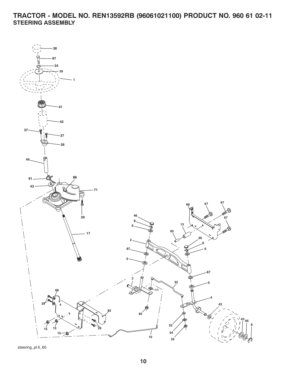**TRACTOR - MODEL NO. REN13592RB (96061021100) PRODUCT NO. 960 61 02-11 STEERING ASSEMBLY**



steering\_pl.lt\_60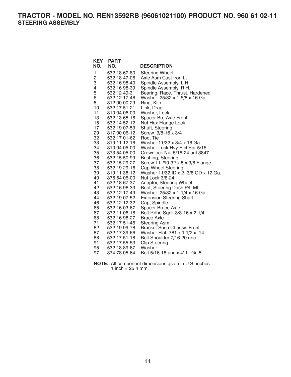**TRACTOR - MODEL NO. REN13592RB (96061021100) PRODUCT NO. 960 61 02-11 STEERING ASSEMBLY**

| <b>KEY</b>     | <b>PART</b>                  |                                                    |
|----------------|------------------------------|----------------------------------------------------|
| NO.            | NO.                          | <b>DESCRIPTION</b>                                 |
| 1              | 532 18 67-80                 | <b>Steering Wheel</b>                              |
| $\overline{c}$ | 532 18 47-06                 | Axle Asm Cast Iron Lt                              |
| 3              | 532 16 98-40                 | Spindle Assembly, L.H.                             |
| 4              | 532 16 98-39                 | Spindle Assembly, R.H.                             |
| 5              | 532 12 49-31                 | Bearing, Race, Thrust, Hardened                    |
| 6              | 532 12 17-48                 | Washer 25/32 x 1-5/8 x 16 Ga.                      |
| 8              | 812 00 00-29                 | Ring, Klip                                         |
| 10             | 532 17 51-21                 | Link, Drag                                         |
| 11             | 810 04 06-00                 | Washer, Lock                                       |
| 13             | 532 13 65-18                 | Spacer Brg Axle Front                              |
| 15             | 532 14 52-12                 | Nut Hex Flange Lock                                |
| 17             | 532 19 07-53                 | Shaft, Steering                                    |
| 29             | 817 00 06-12                 | Screw 3/8-16 x 3/4                                 |
| 32             | 532 17 01-62                 | Rod, Tie                                           |
| 33             | 819 11 12-16                 | Washer 11/32 x 3/4 x 16 Ga.                        |
| 34             | 810 04 05-00                 | Washer Lock Hvy Hlcl Spr 5/16                      |
| 35             | 873 54 05-00                 | Crownlock Nut 5/16-24 unf 3847                     |
| 36             | 532 15 50-99                 | Bushing, Steering                                  |
| 37             | 532 15 29-27                 | Screw TT #10-32 x 5 x 3/8 Flange                   |
| 38             | 532 19 29-16                 | Cap Wheel Steering                                 |
| 39             | 819 11 38-12                 | Washer 11/32 ID x 2- 3/8 OD x 12 Ga.               |
| 40             | 876 54 06-00                 | Nut Lock 3/8-24                                    |
| 41             | 532 18 67-37                 | Adaptor, Steering Wheel                            |
| 42             | 532 16 96-33                 | Boot, Steering Dash P/L Mtl                        |
| 43             | 532 12 17-49                 | Washer 25/32 x 1-1/4 x 16 Ga.                      |
| 44             | 532 19 07-52                 | <b>Extension Steering Shaft</b>                    |
| 46             | 532 12 12-32                 | Cap, Spindle                                       |
| 65             | 532 16 03-67<br>872 11 06-18 | Spacer Brace Axle                                  |
| 67<br>68       | 532 16 98-27                 | Bolt Rdhd Sqnk 3/8-16 x 2-1/4<br><b>Brace Axle</b> |
| 71             | 532 17 51-46                 | Steering Asm.                                      |
| 82             | 532 19 99-78                 | <b>Bracket Susp Chassis Front</b>                  |
| 87             | 532 17 39-66                 | 14. Washer Flat .781 x 1 1/2 x .14                 |
| 88             | 532 17 51-18                 | Bolt Shoulder 7/16-20 unc                          |
| 91             | 532 17 55-53                 | <b>Clip Steering</b>                               |
| 95             | 532 18 89-67                 | Washer                                             |
| 97             | 874 78 05-64                 | Bolt 5/16-18 unc x 4" L. Gr. 5                     |
|                |                              |                                                    |

**NOTE:** All component dimensions given in U.S. inches. 1 inch =  $25.4$  mm.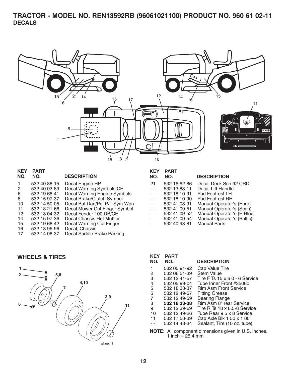### **TRACTOR - MODEL NO. REN13592RB (96061021100) PRODUCT NO. 960 61 02-11 DECALS**



| <b>KEY</b><br>NO. | <b>PART</b><br>NO. | <b>DESCRIPTION</b>            |
|-------------------|--------------------|-------------------------------|
|                   | 532 40 88-15       | Decal Engine HP               |
| 2                 | 532 40 03-89       | Decal Warning Symbols CE      |
| 6                 | 532 19 68-41       | Decal Warning Engine Symbols  |
| 8                 | 532 15 97-37       | Decal Brake/Clutch Symbol     |
| 10                | 532 14 50-05       | Decal Bat Dan/Poi P/L Sym Wpn |
| 11                | 532 18 21-66       | Decal Mower Cut Finger Symbol |
| 12                | 532 18 04-32       | Decal Fender 100 DB/CE        |
| 14                | 532 15 97-36       | Decal Chassis Hot Muffler     |
| 15                | 532 19 68-42       | Decal Warning Cut Finger      |
| 16                | 532 18 96-96       | Decal, Chassis                |
| 17                | 532 14 08-37       | Decal Saddle Brake Parking    |
|                   |                    |                               |

#### **WHEELS & TIRES**



| KEY | PART |
|-----|------|
|     |      |

| NO.                      | NO.          | <b>DESCRIPTION</b>         |
|--------------------------|--------------|----------------------------|
| 21                       | 532 16 62-86 | Decal Deck Sch 92 CRD      |
| $\frac{1}{2}$            | 532 13 83-11 | Decal Lift Handle          |
|                          | 532 18 10-91 | Pad Footrest LH            |
| $\overline{\phantom{0}}$ | 532 18 10-90 | Pad Footrest RH            |
|                          | 532 41 08-91 | Manual Operator's (Euro)   |
| $\overline{\phantom{m}}$ | 532 41 09-51 | Manual Operator's (Scan)   |
| $\overline{\phantom{0}}$ | 532 41 09-52 | Manual Operator's (E-Bloc) |
|                          | 532 41 09-54 | Manual Operator's (Baltic) |
| $\overline{\phantom{0}}$ | 532 40 98-81 | <b>Manual Parts</b>        |

| <b>KEY</b>    | <b>PART</b>  |                                      |
|---------------|--------------|--------------------------------------|
| NO.           | NO.          | <b>DESCRIPTION</b>                   |
| 1             | 532 05 91-92 | Cap Value Tire                       |
| 2             | 532 06 51-39 | <b>Stem Value</b>                    |
| 3             | 532 12 41-57 | Tire F Ts $15 \times 60 - 6$ Service |
| 4             | 532 05 99-04 | Tube Inner Front #35060              |
| 5             | 532 18 33-37 | Rim Asm Front Service                |
| 6             | 532 12 49-57 | <b>Fitting Grease</b>                |
| 7             | 532 12 49-59 | <b>Bearing Flange</b>                |
| 8             | 532 18 33-38 | Rim Asm 8" rear Service              |
| 9             | 532 12 39-69 | Tire R Ts 18 x 8.5-8 Service         |
| 10            | 532 12 49-26 | Tube Rear 9 5 x 8 Service            |
| 11            | 532 17 50-39 | Cap Axle Blk 1 50 x 1 00             |
| $\sim$ $\sim$ | 532 14 43-34 | Sealant, Tire (10 oz. tube)          |

**NOTE:** All component dimensions given in U.S. inches. 1 inch = 25.4 mm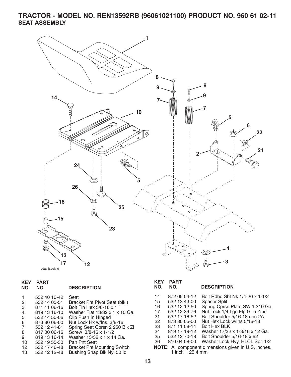**TRACTOR - MODEL NO. REN13592RB (96061021100) PRODUCT NO. 960 61 02-11 SEAT ASSEMBLY**



| <b>KEY</b>   | <b>PART</b>  |
|--------------|--------------|
| $\mathbf{N}$ | $\mathbf{N}$ |

| ------ | - - - - - - - |                    |
|--------|---------------|--------------------|
| NO.    | NO.           | <b>DESCRIPTION</b> |

|    | 532 40 10-42 | Seat                               |
|----|--------------|------------------------------------|
| 2  | 532 14 05-51 | Bracket Pnt Pivot Seat (blk)       |
| 3  | 871 11 06-16 | Bolt Fin Hex 3/8-16 x 1            |
| 4  | 819 13 16-10 | Washer Flat 13/32 x 1 x 10 Ga.     |
| -5 | 532 14 50-06 | Clip Push In Hinged                |
| 6  | 873 80 06-00 | Nut Lock Hx w/Ins. 3/8-16          |
| 7  | 532 12 41-81 | Spring Seat Cprsn 2 250 Blk Zi     |
| 8  | 817 00 06-16 | Screw 3/8-16 x 1-1/2               |
| 9  | 819 13 16-14 | Washer 13/32 x 1 x 14 Ga.          |
| 10 | 532 19 55-30 | Pan Pnt Seat                       |
| 12 | 532 17 46-48 | <b>Bracket Pnt Mounting Switch</b> |
| 13 | 532 12 12-48 | Bushing Snap Blk Nyl 50 ld         |

# **KEY PART**

#### **DESCRIPTION**

| 14                                                   | 872 05 04-12       | Bolt Rdhd Sht Nk 1/4-20 x 1-1/2 |  |  |
|------------------------------------------------------|--------------------|---------------------------------|--|--|
| 15                                                   | 532 13 43-00       | <b>Spacer Split</b>             |  |  |
| 16                                                   | 532 12 12-50       | Spring Cprsn Plate SW 1.310 Ga. |  |  |
| 17                                                   | 532 12 39-76       | Nut Lock 1/4 Lge Flg Gr 5 Zinc  |  |  |
| 21                                                   | 532 17 18-52       | Bolt Shoulder 5/16-18 unc-2A    |  |  |
| 22                                                   | 873 80 05-00       | Nut Hex Lock w/lns 5/16-18      |  |  |
| 23                                                   | 871 11 08-14       | <b>Bolt Hex BLK</b>             |  |  |
| 24                                                   | 819 17 19-12       | Washer 17/32 x 1-3/16 x 12 Ga.  |  |  |
| 25                                                   | 532 12 70-18       | Bolt Shoulder 5/16-18 x 62      |  |  |
| 26                                                   | 810 04 08-00       | Washer Lock Hvy. HLCL Spr. 1/2  |  |  |
| NOTE: All component dimensions given in U.S. inches. |                    |                                 |  |  |
|                                                      | 1 inch = $25.4$ mm |                                 |  |  |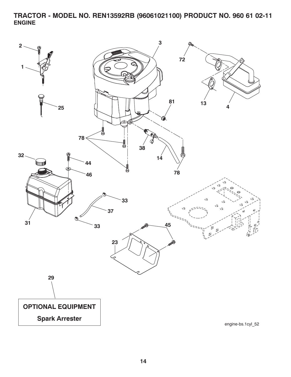**TRACTOR - MODEL NO. REN13592RB (96061021100) PRODUCT NO. 960 61 02-11 ENGINE**

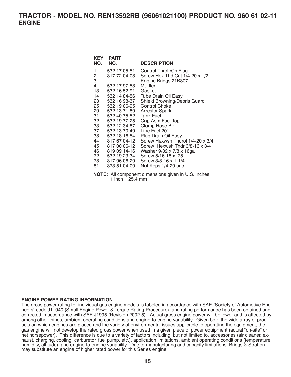| KEY<br>NO. | <b>PART</b><br>NO.           | <b>DESCRIPTION</b>                                        |
|------------|------------------------------|-----------------------------------------------------------|
| 1<br>2     | 532 17 05-51<br>817 72 04-08 | Control Throt / Ch Flag<br>Screw Hex Thd Cut 1/4-20 x 1/2 |
| 3          |                              | Engine Briggs 21B807                                      |
| 4          | 532 17 97-58                 | Muffler                                                   |
| 13         | 532 16 52-91                 | Gasket                                                    |
| 14         | 532 14 84-56                 | <b>Tube Drain Oil Easy</b>                                |
| 23         | 532 16 98-37                 | Shield Browning/Debris Guard                              |
| 25         | 532 19 06-95                 | <b>Control Choke</b>                                      |
| 29         | 532 13 71-80                 | <b>Arrestor Spark</b>                                     |
| 31         | 532 40 75-52                 | <b>Tank Fuel</b>                                          |
| 32         | 532 19 77-25                 | Cap Asm Fuel Top                                          |
| 33         | 532 12 34-87                 | Clamp Hose Blk                                            |
| 37         | 532 13 70-40                 | Line Fuel 20"                                             |
| 38         | 532 18 16-54                 | Plug Drain Oil Easy                                       |
| 44         | 817 67 04-12                 | Screw Hexwsh Thdrol 1/4-20 x 3/4                          |
| 45         | 817 00 06-12                 | Screw Hexwsh Thdr 3/8-16 x 3/4                            |
| 46         | 819 09 14-16                 | Washer 9/32 x 7/8 x 16ga                                  |
| 72         | 532 19 23-34                 | Screw 5/16-18 x .75                                       |
| 78 —       | 817 06 06-20                 | Screw 3/8-16 x 1-1/4                                      |
| 81         | 873 51 04-00                 | Nut Keps 1/4-20 unc                                       |
|            |                              |                                                           |

**NOTE:** All component dimensions given in U.S. inches. 1 inch =  $25.4 \, \text{mm}$ 

#### **ENGINE POWER RATING INFORMATION**

The gross power rating for individual gas engine models is labeled in accordance with SAE (Society of Automotive Engineers) code J11940 (Small Engine Power & Torque Rating Procedure), and rating performance has been obtained and corrected in accordance with SAE J1995 (Revision 2002-5). Actual gross engine power will be lower and is affected by, among other things, ambient operating conditions and engine-to-engine variability. Given both the wide array of products on which engines are placed and the variety of environmental issues applicable to operating the equipment, the gas engine will not develop the rated gross power when used in a given piece of power equipment (actual "on-site" or net horsepower). This difference is due to a variety of factors including, but not limited to, accessories (air cleaner, exhaust, charging, cooling, carburetor, fuel pump, etc.), application limitations, ambient operating conditions (temperature, humidity, altitude), and engine-to-engine variability. Due to manufacturing and capacity limitations, Briggs & Stratton may substitute an engine of higher rated power for this Series engine.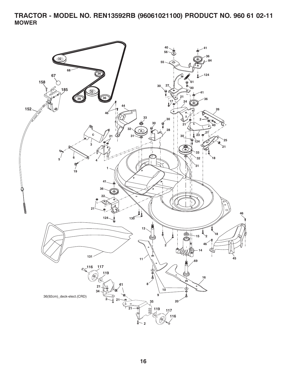**TRACTOR - MODEL NO. REN13592RB (96061021100) PRODUCT NO. 960 61 02-11 MOWER**

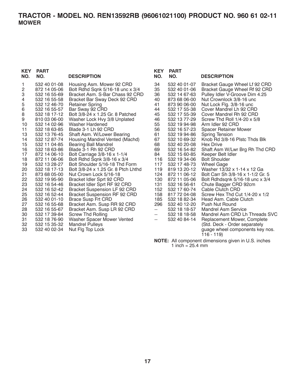| <b>KEY</b><br>NO. | PART<br>NO.                  | <b>DESCRIPTION</b>                                            |
|-------------------|------------------------------|---------------------------------------------------------------|
| 1                 | 532 40 01-08                 | Housing Asm. Mower 92 CRD                                     |
| $\frac{2}{3}$     | 872 14 05-06                 | Bolt Rdhd Sqnk 5/16-18 unc x 3/4                              |
|                   | 532 16 55-69                 | Bracket Asm. S-Bar Chass 92 CRD                               |
| 4                 | 532 16 55-58                 | Bracket Bar Sway Deck 92 CRD                                  |
| 5                 | 532 12 46-70                 | <b>Retainer Spring</b>                                        |
| 6                 | 532 16 55-57                 | Bar Sway 92 CRD                                               |
| 8                 | 532 18 17-12                 | Bolt 3/8-24 x 1.25 Gr. 8 Patched                              |
| 9                 | 810 03 06-00                 | Washer Lock Hvy 3/8 Unplated                                  |
| 10                | 532 14 02-96                 | Washer Hardened                                               |
| 11                | 532 18 63-85                 | Blade 3-1 Lh 92 CRD                                           |
| 13                | 532 13 76-45                 | Shaft Asm. W/Lower Bearing                                    |
| 14<br>15          | 532 12 87-74<br>532 11 04-85 | Housing Mandrel Vented (Machd)<br><b>Bearing Ball Mandrel</b> |
| 16                | 532 18 63-86                 | Blade 3-1 Rh 92 CRD                                           |
| 17                | 872 14 06-10                 | Bolt Carriage 3/8-16 x 1-1/4                                  |
| 18                | 872 11 06-06                 | Bolt Rdhd Sqnk 3/8-16 x 3/4                                   |
| 19                | 532 13 28-27                 | Bolt Shoulder 5/16-18 Thd Form                                |
| 20                | 532 18 17-13                 | Bolt 3/8-24 x 1.25 Gr. 8 Ptch Lhthd                           |
| 21                | 873 68 05-00                 | Nut Crown Lock 5/16-18                                        |
| 22                | 532 19 95-90                 | Bracket Idler Sprt 92 CRD                                     |
| 23                | 532 16 54-46                 | Bracket Idler Sprt RF 92 CRD                                  |
| 24                | 532 16 52-42                 | <b>Bracket Suspension LF 92 CRD</b>                           |
| 25                | 532 16 52-44                 | <b>Bracket Suspension RF 92 CRD</b>                           |
| 26                | 532 40 01-10                 | <b>Brace Susp Frt CRD</b>                                     |
| 27                | 532 16 55-68                 | Bracket Asm. Susp RR 92 CRD                                   |
| 28                | 532 16 55-67                 | Bracket Asm. Susp LR 92 CRD                                   |
| 30                | 532 17 39-84                 | <b>Screw Thd Rolling</b>                                      |
| 31                | 532 18 76-90                 | Washer Spacer Mower Vented                                    |
| 32                | 532 15 35-32                 | <b>Mandrel Pulleys</b>                                        |
| 33                | 532 40 02-34                 | Nut Flg Top Lock                                              |
|                   |                              |                                                               |

| <b>KEY</b><br>NO.                                                                                                                                                  | <b>PART</b><br>NO.                                                                                                                                                                                                                                                                                                                                                                                                                                           | <b>DESCRIPTION</b>                                                                                                                                                                                                                                                                                                                                                                                                                                                                                                                                                                                                                                                                                                                                                                                                                                                                        |
|--------------------------------------------------------------------------------------------------------------------------------------------------------------------|--------------------------------------------------------------------------------------------------------------------------------------------------------------------------------------------------------------------------------------------------------------------------------------------------------------------------------------------------------------------------------------------------------------------------------------------------------------|-------------------------------------------------------------------------------------------------------------------------------------------------------------------------------------------------------------------------------------------------------------------------------------------------------------------------------------------------------------------------------------------------------------------------------------------------------------------------------------------------------------------------------------------------------------------------------------------------------------------------------------------------------------------------------------------------------------------------------------------------------------------------------------------------------------------------------------------------------------------------------------------|
| 34<br>35<br>36<br>40<br>41<br>44<br>45<br>46<br>55<br>56<br>61<br>67<br>68<br>69<br>84<br>116<br>117<br>119<br>124<br>130<br>131<br>152<br>158<br>185<br>296<br>-- | 532 40 01-07<br>532 40 01-06<br>532 14 67-63<br>873 68 06-00<br>873 90 06-00<br>532 17 55-38<br>532 17 55-39<br>532 13 77-29<br>532 19 94-98<br>532 16 57-23<br>532 19 94-86<br>532 10 69-32<br>532 40 20-08<br>532 16 54-82<br>532 15 60-85<br>532 19 34-06<br>532 17 48-73<br>819 13 20-12<br>872 11 06-12<br>872 11 05-06<br>532 16 56-61<br>532 17 60-74<br>817 72 04-08<br>532 18 82-34<br>532 40 12-20<br>532 18 18-57<br>532 18 18-58<br>532 40 84-14 | Bracket Gauge Wheel Lf 92 CRD<br>Bracket Gauge Wheel Rf 92 CRD<br>Pulley Idler V-Groove Dim 4.25<br>Nut Crownlock 3/8-16 unc<br>Nut Lock Flg. 3/8-16 unc<br>Cover Mandrel Lh 92 CRD<br>Cover Mandrel Rh 92 CRD<br>Screw Thd Roll 1/4-20 x 5/8<br>Arm Idler 92 CRD<br><b>Spacer Retainer Mower</b><br>Spring Tension<br>Knob Rd 3/8-16 Plstc Thds Blk<br>Hex Drive<br>Shaft Asm W/Lwr Brg Rh Thd CRD<br>Keeper Belt Idler<br><b>Bolt Shoulder</b><br><b>Wheel Gage</b><br>Washer 13/32 x 1-14 x 12 Ga<br>Bolt Carr Sh 3/8-16 x 1-1/2 Gr. 5<br>Bolt Rdhdsqnk 5/16-18 unc x 3/4<br>Chute Bagger CRD 92cm<br><b>Cable Clutch CRD</b><br>Screw Hex Thd Cut 1/4-20 x 1/2<br>Head Asm. Cable Clutch<br>Push Nut Round<br>Mandrel Asm Service<br>Mandrel Asm CRD Lh Threads SVC<br>Replacement Mower, Complete<br>(Std. Deck - Order separately<br>guage wheel components key nos.<br>$116 - 119$ |
|                                                                                                                                                                    |                                                                                                                                                                                                                                                                                                                                                                                                                                                              | <b>NOTE:</b> All component dimensions given in U.S. inches                                                                                                                                                                                                                                                                                                                                                                                                                                                                                                                                                                                                                                                                                                                                                                                                                                |

**NOTE:** All component dimensions given in U.S. inches 1 inch = 25.4 mm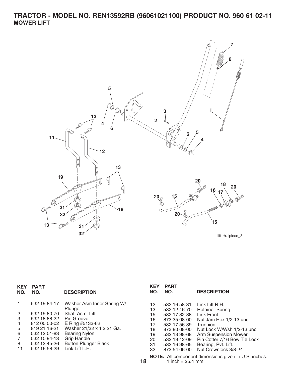# **TRACTOR - MODEL NO. REN13592RB (96061021100) PRODUCT NO. 960 61 02-11 MOWER LIFT**



lift-rh.1piece\_3

| <b>KEY</b><br>NO. | <b>PART</b><br>NO. | <b>DESCRIPTION</b>                    | <b>KEY</b><br>NO. | <b>PART</b><br>NO.           | <b>DESCRIPTION</b>                                   |
|-------------------|--------------------|---------------------------------------|-------------------|------------------------------|------------------------------------------------------|
| 1                 | 532 19 84-17       | Washer Asm Inner Spring W/<br>Plunger | 12<br>13          | 532 16 58-31<br>532 12 46-70 | Link Lift R.H.<br><b>Retainer Spring</b>             |
| $\overline{2}$    | 532 19 80-70       | Shaft Asm. Lift                       | 15                | 532 17 32-88                 | Link Front                                           |
| 3                 | 532 18 88-22       | Pin Groove                            | 16                | 873 35 08-00                 | Nut Jam Hex 1/2-13 unc                               |
| 4                 | 812 00 00-02       | E Ring #5133-62                       | 17                | 532 17 56-89                 | <b>Trunnion</b>                                      |
| 5                 | 819 21 16-21       | Washer 21/32 x 1 x 21 Ga.             | 18                | 873 80 08-00                 | Nut Lock W/Wsh 1/2-13 unc                            |
| 6                 | 532 12 01-83       | <b>Bearing Nylon</b>                  | 19                | 532 13 98-68                 | Arm Suspension Mower                                 |
| $\overline{7}$    | 532 10 94-13       | <b>Grip Handle</b>                    | 20                | 532 19 42-09                 | Pin Cotter 7/16 Bow Tie Lock                         |
| 8                 | 532 12 45-26       | <b>Button Plunger Black</b>           | 31                | 532 16 98-65                 | Bearing, Pvt. Lift.                                  |
| 11                | 532 16 58-29       | Link Lift L.H.                        | 32                | 873 54 06-00                 | Nut Crownlock 3/8-24                                 |
|                   |                    |                                       | 18                | 1 inch = $25.4$ mm           | NOTE: All component dimensions given in U.S. inches. |